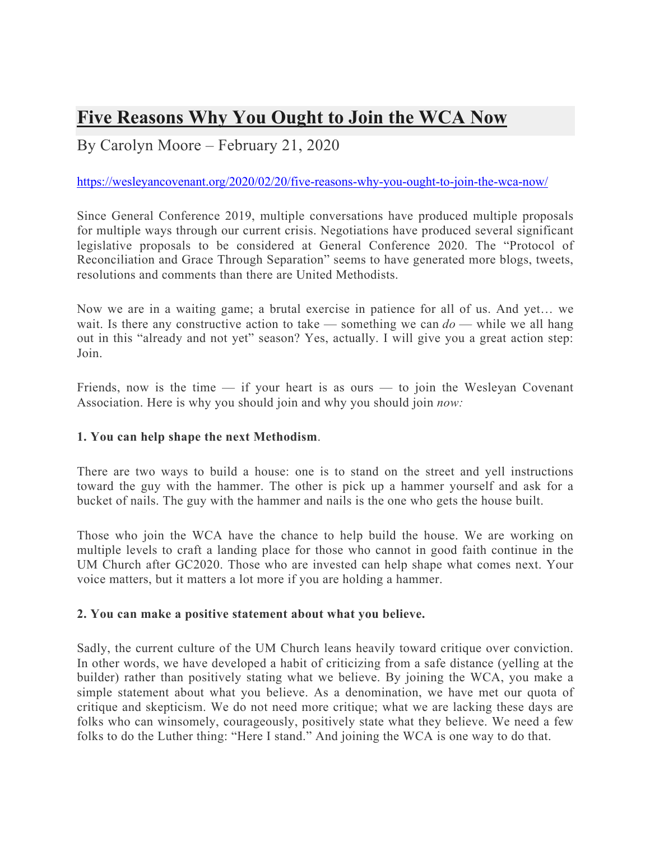# **Five Reasons Why You Ought to Join the WCA Now**

# By Carolyn Moore – February 21, 2020

### https://wesleyancovenant.org/2020/02/20/five-reasons-why-you-ought-to-join-the-wca-now/

Since General Conference 2019, multiple conversations have produced multiple proposals for multiple ways through our current crisis. Negotiations have produced several significant legislative proposals to be considered at General Conference 2020. The "Protocol of Reconciliation and Grace Through Separation" seems to have generated more blogs, tweets, resolutions and comments than there are United Methodists.

Now we are in a waiting game; a brutal exercise in patience for all of us. And yet… we wait. Is there any constructive action to take — something we can *do* — while we all hang out in this "already and not yet" season? Yes, actually. I will give you a great action step: Join.

Friends, now is the time  $-$  if your heart is as ours  $-$  to join the Wesleyan Covenant Association. Here is why you should join and why you should join *now:*

#### **1. You can help shape the next Methodism**.

There are two ways to build a house: one is to stand on the street and yell instructions toward the guy with the hammer. The other is pick up a hammer yourself and ask for a bucket of nails. The guy with the hammer and nails is the one who gets the house built.

Those who join the WCA have the chance to help build the house. We are working on multiple levels to craft a landing place for those who cannot in good faith continue in the UM Church after GC2020. Those who are invested can help shape what comes next. Your voice matters, but it matters a lot more if you are holding a hammer.

#### **2. You can make a positive statement about what you believe.**

Sadly, the current culture of the UM Church leans heavily toward critique over conviction. In other words, we have developed a habit of criticizing from a safe distance (yelling at the builder) rather than positively stating what we believe. By joining the WCA, you make a simple statement about what you believe. As a denomination, we have met our quota of critique and skepticism. We do not need more critique; what we are lacking these days are folks who can winsomely, courageously, positively state what they believe. We need a few folks to do the Luther thing: "Here I stand." And joining the WCA is one way to do that.